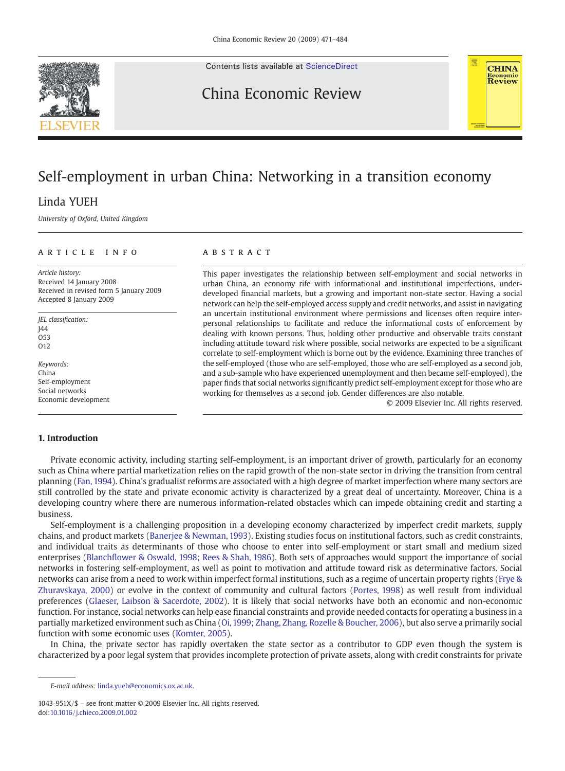Contents lists available at [ScienceDirect](http://www.sciencedirect.com/science/journal/1043951X)



China Economic Review



# Self-employment in urban China: Networking in a transition economy

## Linda YUEH

University of Oxford, United Kingdom

#### article info abstract

Article history: Received 14 January 2008 Received in revised form 5 January 2009 Accepted 8 January 2009

JEL classification: J44 O53  $012$ 

Keywords: China Self-employment Social networks Economic development

This paper investigates the relationship between self-employment and social networks in urban China, an economy rife with informational and institutional imperfections, underdeveloped financial markets, but a growing and important non-state sector. Having a social network can help the self-employed access supply and credit networks, and assist in navigating an uncertain institutional environment where permissions and licenses often require interpersonal relationships to facilitate and reduce the informational costs of enforcement by dealing with known persons. Thus, holding other productive and observable traits constant including attitude toward risk where possible, social networks are expected to be a significant correlate to self-employment which is borne out by the evidence. Examining three tranches of the self-employed (those who are self-employed, those who are self-employed as a second job, and a sub-sample who have experienced unemployment and then became self-employed), the paper finds that social networks significantly predict self-employment except for those who are working for themselves as a second job. Gender differences are also notable.

© 2009 Elsevier Inc. All rights reserved.

#### 1. Introduction

Private economic activity, including starting self-employment, is an important driver of growth, particularly for an economy such as China where partial marketization relies on the rapid growth of the non-state sector in driving the transition from central planning [\(Fan, 1994\)](#page--1-0). China's gradualist reforms are associated with a high degree of market imperfection where many sectors are still controlled by the state and private economic activity is characterized by a great deal of uncertainty. Moreover, China is a developing country where there are numerous information-related obstacles which can impede obtaining credit and starting a business.

Self-employment is a challenging proposition in a developing economy characterized by imperfect credit markets, supply chains, and product markets [\(Banerjee & Newman, 1993\)](#page--1-0). Existing studies focus on institutional factors, such as credit constraints, and individual traits as determinants of those who choose to enter into self-employment or start small and medium sized enterprises (Blanchfl[ower & Oswald, 1998; Rees & Shah, 1986](#page--1-0)). Both sets of approaches would support the importance of social networks in fostering self-employment, as well as point to motivation and attitude toward risk as determinative factors. Social networks can arise from a need to work within imperfect formal institutions, such as a regime of uncertain property rights [\(Frye &](#page--1-0) [Zhuravskaya, 2000\)](#page--1-0) or evolve in the context of community and cultural factors ([Portes, 1998\)](#page--1-0) as well result from individual preferences ([Glaeser, Laibson & Sacerdote, 2002\)](#page--1-0). It is likely that social networks have both an economic and non-economic function. For instance, social networks can help ease financial constraints and provide needed contacts for operating a business in a partially marketized environment such as China [\(Oi, 1999; Zhang, Zhang, Rozelle & Boucher, 2006](#page--1-0)), but also serve a primarily social function with some economic uses [\(Komter, 2005](#page--1-0)).

In China, the private sector has rapidly overtaken the state sector as a contributor to GDP even though the system is characterized by a poor legal system that provides incomplete protection of private assets, along with credit constraints for private

E-mail address: [linda.yueh@economics.ox.ac.uk](mailto:linda.yueh@economics.ox.ac.uk).

<sup>1043-951</sup>X/\$ – see front matter © 2009 Elsevier Inc. All rights reserved. doi[:10.1016/j.chieco.2009.01.002](http://dx.doi.org/10.1016/j.chieco.2009.01.002)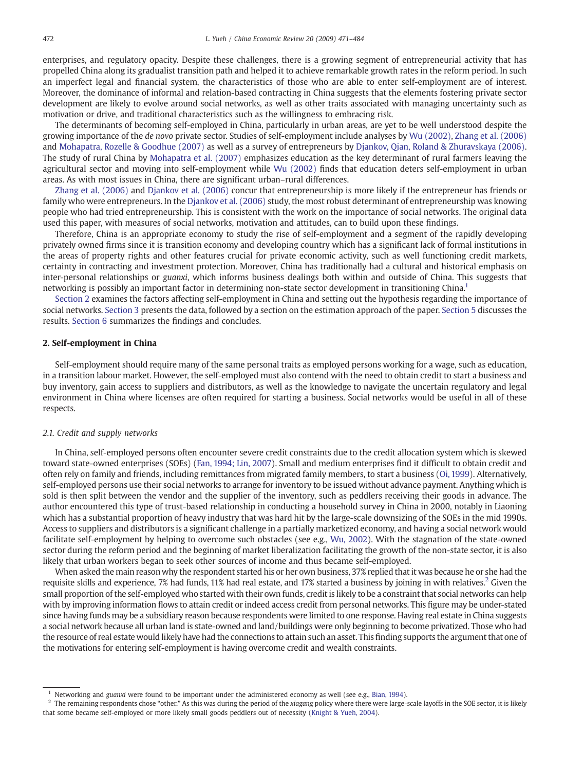enterprises, and regulatory opacity. Despite these challenges, there is a growing segment of entrepreneurial activity that has propelled China along its gradualist transition path and helped it to achieve remarkable growth rates in the reform period. In such an imperfect legal and financial system, the characteristics of those who are able to enter self-employment are of interest. Moreover, the dominance of informal and relation-based contracting in China suggests that the elements fostering private sector development are likely to evolve around social networks, as well as other traits associated with managing uncertainty such as motivation or drive, and traditional characteristics such as the willingness to embracing risk.

The determinants of becoming self-employed in China, particularly in urban areas, are yet to be well understood despite the growing importance of the de novo private sector. Studies of self-employment include analyses by [Wu \(2002\),](#page--1-0) [Zhang et al. \(2006\)](#page--1-0) and [Mohapatra, Rozelle & Goodhue \(2007\)](#page--1-0) as well as a survey of entrepreneurs by [Djankov, Qian, Roland & Zhuravskaya \(2006\).](#page--1-0) The study of rural China by [Mohapatra et al. \(2007\)](#page--1-0) emphasizes education as the key determinant of rural farmers leaving the agricultural sector and moving into self-employment while [Wu \(2002\)](#page--1-0) finds that education deters self-employment in urban areas. As with most issues in China, there are significant urban–rural differences.

[Zhang et al. \(2006\)](#page--1-0) and [Djankov et al. \(2006\)](#page--1-0) concur that entrepreneurship is more likely if the entrepreneur has friends or family who were entrepreneurs. In the [Djankov et al. \(2006\)](#page--1-0) study, the most robust determinant of entrepreneurship was knowing people who had tried entrepreneurship. This is consistent with the work on the importance of social networks. The original data used this paper, with measures of social networks, motivation and attitudes, can to build upon these findings.

Therefore, China is an appropriate economy to study the rise of self-employment and a segment of the rapidly developing privately owned firms since it is transition economy and developing country which has a significant lack of formal institutions in the areas of property rights and other features crucial for private economic activity, such as well functioning credit markets, certainty in contracting and investment protection. Moreover, China has traditionally had a cultural and historical emphasis on inter-personal relationships or guanxi, which informs business dealings both within and outside of China. This suggests that networking is possibly an important factor in determining non-state sector development in transitioning China.<sup>1</sup>

Section 2 examines the factors affecting self-employment in China and setting out the hypothesis regarding the importance of social networks. [Section 3](#page--1-0) presents the data, followed by a section on the estimation approach of the paper. [Section 5](#page--1-0) discusses the results. [Section 6](#page--1-0) summarizes the findings and concludes.

### 2. Self-employment in China

Self-employment should require many of the same personal traits as employed persons working for a wage, such as education, in a transition labour market. However, the self-employed must also contend with the need to obtain credit to start a business and buy inventory, gain access to suppliers and distributors, as well as the knowledge to navigate the uncertain regulatory and legal environment in China where licenses are often required for starting a business. Social networks would be useful in all of these respects.

#### 2.1. Credit and supply networks

In China, self-employed persons often encounter severe credit constraints due to the credit allocation system which is skewed toward state-owned enterprises (SOEs) ([Fan, 1994; Lin, 2007\)](#page--1-0). Small and medium enterprises find it difficult to obtain credit and often rely on family and friends, including remittances from migrated family members, to start a business ([Oi, 1999](#page--1-0)). Alternatively, self-employed persons use their social networks to arrange for inventory to be issued without advance payment. Anything which is sold is then split between the vendor and the supplier of the inventory, such as peddlers receiving their goods in advance. The author encountered this type of trust-based relationship in conducting a household survey in China in 2000, notably in Liaoning which has a substantial proportion of heavy industry that was hard hit by the large-scale downsizing of the SOEs in the mid 1990s. Access to suppliers and distributors is a significant challenge in a partially marketized economy, and having a social network would facilitate self-employment by helping to overcome such obstacles (see e.g., [Wu, 2002](#page--1-0)). With the stagnation of the state-owned sector during the reform period and the beginning of market liberalization facilitating the growth of the non-state sector, it is also likely that urban workers began to seek other sources of income and thus became self-employed.

When asked the main reason why the respondent started his or her own business, 37% replied that it was because he or she had the requisite skills and experience, 7% had funds, 11% had real estate, and 17% started a business by joining in with relatives.<sup>2</sup> Given the small proportion of the self-employed who started with their own funds, credit is likely to be a constraint that social networks can help with by improving information flows to attain credit or indeed access credit from personal networks. This figure may be under-stated since having funds may be a subsidiary reason because respondents were limited to one response. Having real estate in China suggests a social network because all urban land is state-owned and land/buildings were only beginning to become privatized. Those who had the resource of real estate would likely have had the connections to attain such an asset. This finding supports the argument that one of the motivations for entering self-employment is having overcome credit and wealth constraints.

<sup>&</sup>lt;sup>1</sup> Networking and *guanxi* were found to be important under the administered economy as well (see e.g., [Bian, 1994](#page--1-0)).

 $^2$  The remaining respondents chose "other." As this was during the period of the xiagang policy where there were large-scale layoffs in the SOE sector, it is likely that some became self-employed or more likely small goods peddlers out of necessity [\(Knight & Yueh, 2004](#page--1-0)).